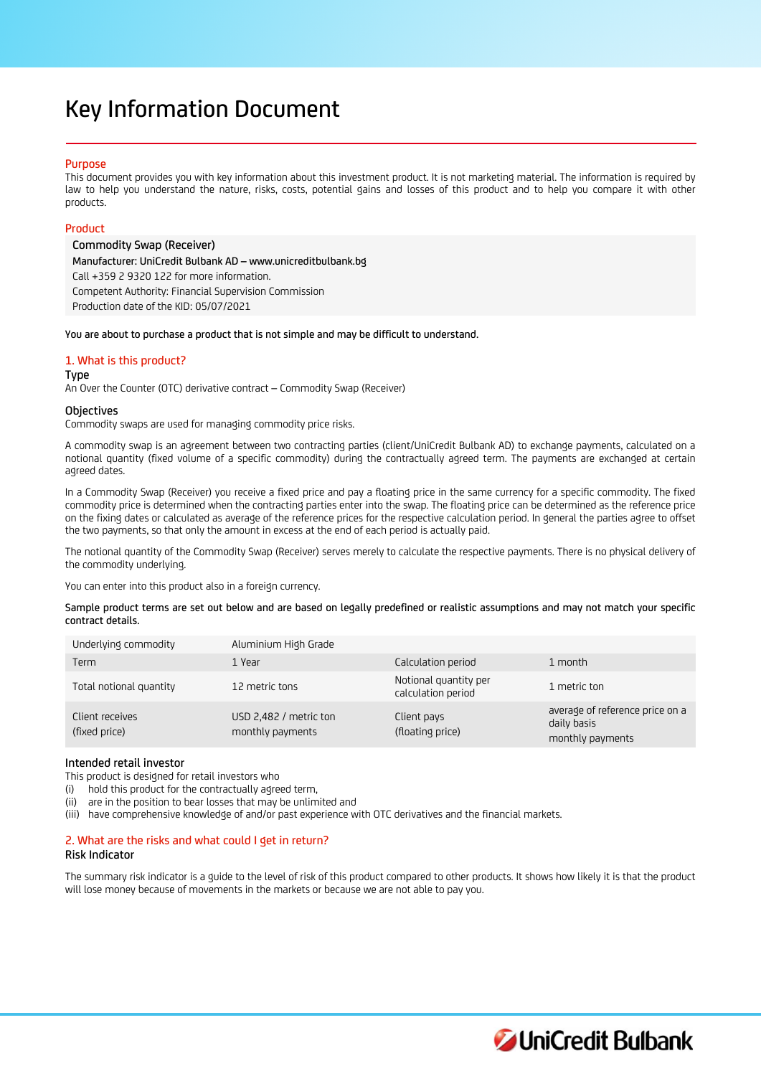# Key Information Document

## Purpose

This document provides you with key information about this investment product. It is not marketing material. The information is required by law to help you understand the nature, risks, costs, potential gains and losses of this product and to help you compare it with other products.

# Product

Commodity Swap (Receiver) Manufacturer: UniCredit Bulbank AD – www.unicreditbulbank.bg Call +359 2 9320 122 for more information. Competent Authority: Financial Supervision Commission Production date of the KID: 05/07/2021

You are about to purchase a product that is not simple and may be difficult to understand.

# 1. What is this product?

## Type

An Over the Counter (OTC) derivative contract – Commodity Swap (Receiver)

## **Objectives**

Commodity swaps are used for managing commodity price risks.

A commodity swap is an agreement between two contracting parties (client/UniCredit Bulbank AD) to exchange payments, calculated on a notional quantity (fixed volume of a specific commodity) during the contractually agreed term. The payments are exchanged at certain agreed dates.

In a Commodity Swap (Receiver) you receive a fixed price and pay a floating price in the same currency for a specific commodity. The fixed commodity price is determined when the contracting parties enter into the swap. The floating price can be determined as the reference price on the fixing dates or calculated as average of the reference prices for the respective calculation period. In general the parties agree to offset the two payments, so that only the amount in excess at the end of each period is actually paid.

The notional quantity of the Commodity Swap (Receiver) serves merely to calculate the respective payments. There is no physical delivery of the commodity underlying.

You can enter into this product also in a foreign currency.

Sample product terms are set out below and are based on legally predefined or realistic assumptions and may not match your specific contract details.

| Underlying commodity             | Aluminium High Grade                       |                                             |                                                                    |
|----------------------------------|--------------------------------------------|---------------------------------------------|--------------------------------------------------------------------|
| Term                             | 1 Year                                     | Calculation period                          | 1 month                                                            |
| Total notional quantity          | 12 metric tons                             | Notional quantity per<br>calculation period | 1 metric ton                                                       |
| Client receives<br>(fixed price) | USD 2,482 / metric ton<br>monthly payments | Client pays<br>(floating price)             | average of reference price on a<br>daily basis<br>monthly payments |

# Intended retail investor

This product is designed for retail investors who

(i) hold this product for the contractually agreed term,

(ii) are in the position to bear losses that may be unlimited and

(iii) have comprehensive knowledge of and/or past experience with OTC derivatives and the financial markets.

# 2. What are the risks and what could I get in return?

## Risk Indicator

The summary risk indicator is a guide to the level of risk of this product compared to other products. It shows how likely it is that the product will lose money because of movements in the markets or because we are not able to pay you.

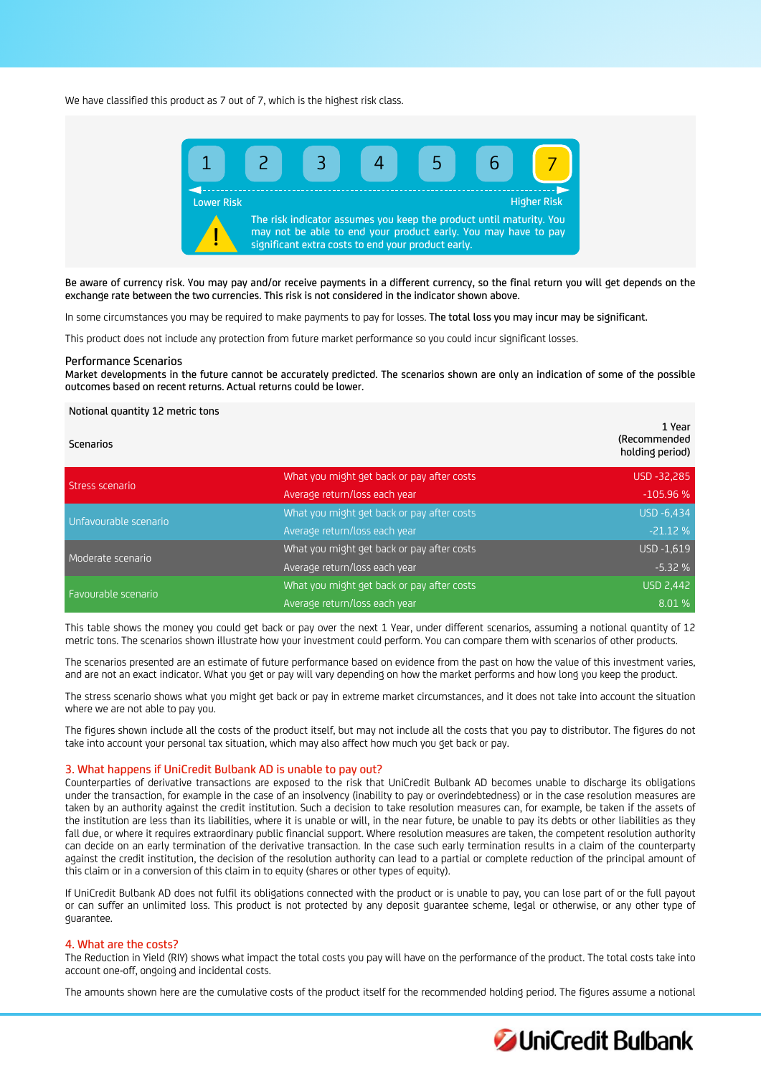We have classified this product as 7 out of 7, which is the highest risk class.



Be aware of currency risk. You may pay and/or receive payments in a different currency, so the final return you will get depends on the exchange rate between the two currencies. This risk is not considered in the indicator shown above.

In some circumstances you may be required to make payments to pay for losses. The total loss you may incur may be significant.

This product does not include any protection from future market performance so you could incur significant losses.

#### Performance Scenarios

Market developments in the future cannot be accurately predicted. The scenarios shown are only an indication of some of the possible outcomes based on recent returns. Actual returns could be lower.

#### Notional quantity 12 metric tons

| <b>Scenarios</b>      |                                            | 1 Year<br>(Recommended<br>holding period) |
|-----------------------|--------------------------------------------|-------------------------------------------|
| Stress scenario       | What you might get back or pay after costs | USD -32,285                               |
|                       | Average return/loss each year              | $-105.96%$                                |
| Unfavourable scenario | What you might get back or pay after costs | USD -6,434                                |
|                       | Average return/loss each year              | $-21.12%$                                 |
| Moderate scenario     | What you might get back or pay after costs | USD -1,619                                |
|                       | Average return/loss each year              | $-5.32%$                                  |
| Favourable scenario   | What you might get back or pay after costs | <b>USD 2,442</b>                          |
|                       | Average return/loss each year              | 8.01 %                                    |

This table shows the money you could get back or pay over the next 1 Year, under different scenarios, assuming a notional quantity of 12 metric tons. The scenarios shown illustrate how your investment could perform. You can compare them with scenarios of other products.

The scenarios presented are an estimate of future performance based on evidence from the past on how the value of this investment varies, and are not an exact indicator. What you get or pay will vary depending on how the market performs and how long you keep the product.

The stress scenario shows what you might get back or pay in extreme market circumstances, and it does not take into account the situation where we are not able to pay you.

The figures shown include all the costs of the product itself, but may not include all the costs that you pay to distributor. The figures do not take into account your personal tax situation, which may also affect how much you get back or pay.

#### 3. What happens if UniCredit Bulbank AD is unable to pay out?

Counterparties of derivative transactions are exposed to the risk that UniCredit Bulbank AD becomes unable to discharge its obligations under the transaction, for example in the case of an insolvency (inability to pay or overindebtedness) or in the case resolution measures are taken by an authority against the credit institution. Such a decision to take resolution measures can, for example, be taken if the assets of the institution are less than its liabilities, where it is unable or will, in the near future, be unable to pay its debts or other liabilities as they fall due, or where it requires extraordinary public financial support. Where resolution measures are taken, the competent resolution authority can decide on an early termination of the derivative transaction. In the case such early termination results in a claim of the counterparty against the credit institution, the decision of the resolution authority can lead to a partial or complete reduction of the principal amount of this claim or in a conversion of this claim in to equity (shares or other types of equity).

If UniCredit Bulbank AD does not fulfil its obligations connected with the product or is unable to pay, you can lose part of or the full payout or can suffer an unlimited loss. This product is not protected by any deposit guarantee scheme, legal or otherwise, or any other type of guarantee.

# 4. What are the costs?

The Reduction in Yield (RIY) shows what impact the total costs you pay will have on the performance of the product. The total costs take into account one-off, ongoing and incidental costs.

The amounts shown here are the cumulative costs of the product itself for the recommended holding period. The figures assume a notional